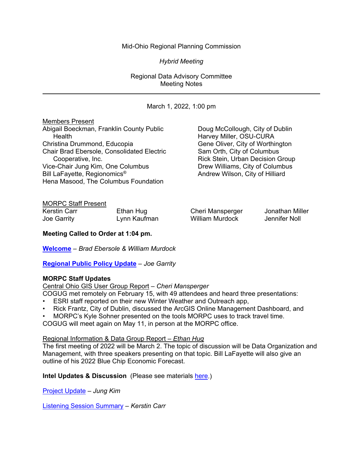# Mid-Ohio Regional Planning Commission

*Hybrid Meeting*

Regional Data Advisory Committee Meeting Notes

March 1, 2022, 1:00 pm Members Present Abigail Boeckman, Franklin County Public **Doug McCollough, City of Dublin** Health Health **Harvey Miller, OSU-CURA** Christina Drummond, Educopia Gene Oliver, City of Worthington<br>Chair Brad Ebersole, Consolidated Electric Sam Orth, City of Columbus Chair Brad Ebersole, Consolidated Electric Cooperative, Inc. Cooperative, Inc. Rick Stein, Urban Decision Group<br>E-Chair Jung Kim, One Columbus Chair Drew Williams, City of Columbus Vice-Chair Jung Kim, One Columbus<br>Bill LaFayette, Regionomics® Andrew Wilson, City of Hilliard Hena Masood, The Columbus Foundation

#### MORPC Staff Present

| <b>Kerstin Carr</b> | Ethan Hug    | С |
|---------------------|--------------|---|
| Joe Garrity         | Lynn Kaufman | N |

Villiam Murdock

:heri Mansperger Jonathan Miller<br>Villiam Murdock Jennifer Noll

**Meeting Called to Order at 1:04 pm.**

**[Welcome](https://morpc1-my.sharepoint.com/:v:/g/personal/lkaufman_morpc_org/EUCy1vKyMI5KmsTFIa4jQZMB6lu5VXlWzFQoC_rGj6o5_Q?e=eSNKCr)** *– Brad Ebersole & William Murdock*

**[Regional Public Policy Update](https://morpc1-my.sharepoint.com/:v:/g/personal/lkaufman_morpc_org/EVBXQq9atb1BoM54Q3Y6JagBYhER3sPglwJcJvZh5iN8xA?e=yc448D)** *– Joe Garrity*

#### **MORPC Staff Updates**

Central Ohio GIS User Group Report *– Cheri Mansperger*

COGUG met remotely on February 15, with 49 attendees and heard three presentations:

- ESRI staff reported on their new Winter Weather and Outreach app,
- Rick Frantz, City of Dublin, discussed the ArcGIS Online Management Dashboard, and
- MORPC's Kyle Sohner presented on the tools MORPC uses to track travel time.

COGUG will meet again on May 11, in person at the MORPC office.

#### Regional Information & Data Group Report *– Ethan Hug*

The first meeting of 2022 will be March 2. The topic of discussion will be Data Organization and Management, with three speakers presenting on that topic. Bill LaFayette will also give an outline of his 2022 Blue Chip Economic Forecast.

**Intel Updates & Discussion** (Please see materials [here.](https://www.morpc.org/wordpress/wp-content/uploads/2022/03/03-01-22-RDAC-Meeting-Packet.pdf))

[Project Update](https://morpc1-my.sharepoint.com/:v:/g/personal/lkaufman_morpc_org/ESXEUPZGItFBtn_Xsf6NuU4Bl3omJF9G33wx41lKcPuTbw?e=3lAuZR) *– Jung Kim*

[Listening Session Summary](https://morpc1-my.sharepoint.com/:v:/g/personal/lkaufman_morpc_org/ESjisxFT5-VFrYdyFELyIrwB9tzqC-ROER3Cs4duGxS-tQ?e=G6N86h) *– Kerstin Carr*